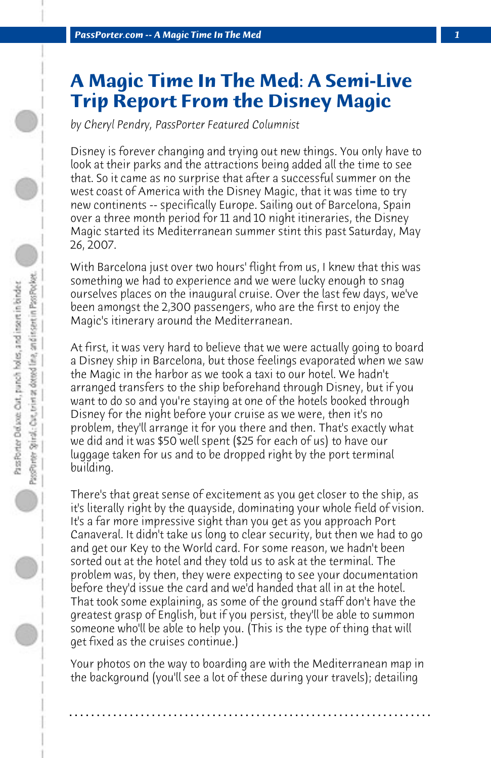## **A Magic Time In The Med: A Semi-Live Trip Report From the Disney Magic**

*by Cheryl Pendry, PassPorter Featured Columnist*

Disney is forever changing and trying out new things. You only have to look at their parks and the attractions being added all the time to see that. So it came as no surprise that after a successful summer on the west coast of America with the Disney Magic, that it was time to try new continents -- specifically Europe. Sailing out of Barcelona, Spain over a three month period for 11 and 10 night itineraries, the Disney Magic started its Mediterranean summer stint this past Saturday, May 26, 2007.

With Barcelona just over two hours' flight from us, I knew that this was something we had to experience and we were lucky enough to snag ourselves places on the inaugural cruise. Over the last few days, we've been amongst the 2,300 passengers, who are the first to enjoy the Magic's itinerary around the Mediterranean.

At first, it was very hard to believe that we were actually going to board a Disney ship in Barcelona, but those feelings evaporated when we saw the Magic in the harbor as we took a taxi to our hotel. We hadn't arranged transfers to the ship beforehand through Disney, but if you want to do so and you're staying at one of the hotels booked through Disney for the night before your cruise as we were, then it's no problem, they'll arrange it for you there and then. That's exactly what we did and it was \$50 well spent (\$25 for each of us) to have our luggage taken for us and to be dropped right by the port terminal building.

There's that great sense of excitement as you get closer to the ship, as it's literally right by the quayside, dominating your whole field of vision. It's a far more impressive sight than you get as you approach Port Canaveral. It didn't take us long to clear security, but then we had to go and get our Key to the World card. For some reason, we hadn't been sorted out at the hotel and they told us to ask at the terminal. The problem was, by then, they were expecting to see your documentation before they'd issue the card and we'd handed that all in at the hotel. That took some explaining, as some of the ground staff don't have the greatest grasp of English, but if you persist, they'll be able to summon someone who'll be able to help you. (This is the type of thing that will get fixed as the cruises continue.)

Your photos on the way to boarding are with the Mediterranean map in the background (you'll see a lot of these during your travels); detailing

**. . . . . . . . . . . . . . . . . . . . . . . . . . . . . . . . . . . . . . . . . . . . . . . . . . . . . . . . . . . . . . . . . .**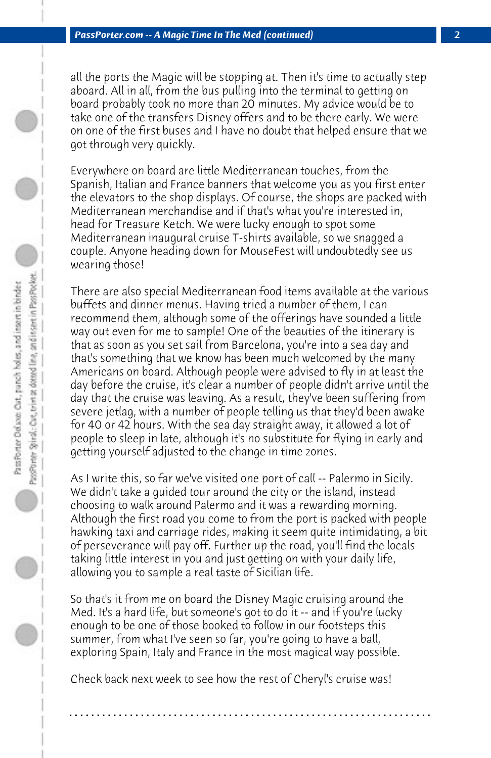all the ports the Magic will be stopping at. Then it's time to actually step aboard. All in all, from the bus pulling into the terminal to getting on board probably took no more than 20 minutes. My advice would be to take one of the transfers Disney offers and to be there early. We were on one of the first buses and I have no doubt that helped ensure that we got through very quickly.

Everywhere on board are little Mediterranean touches, from the Spanish, Italian and France banners that welcome you as you first enter the elevators to the shop displays. Of course, the shops are packed with Mediterranean merchandise and if that's what you're interested in, head for Treasure Ketch. We were lucky enough to spot some Mediterranean inaugural cruise T-shirts available, so we snagged a couple. Anyone heading down for MouseFest will undoubtedly see us wearing those!

There are also special Mediterranean food items available at the various buffets and dinner menus. Having tried a number of them, I can recommend them, although some of the offerings have sounded a little way out even for me to sample! One of the beauties of the itinerary is that as soon as you set sail from Barcelona, you're into a sea day and that's something that we know has been much welcomed by the many Americans on board. Although people were advised to fly in at least the day before the cruise, it's clear a number of people didn't arrive until the day that the cruise was leaving. As a result, they've been suffering from severe jetlag, with a number of people telling us that they'd been awake for 40 or 42 hours. With the sea day straight away, it allowed a lot of people to sleep in late, although it's no substitute for flying in early and getting yourself adjusted to the change in time zones.

As I write this, so far we've visited one port of call -- Palermo in Sicily. We didn't take a guided tour around the city or the island, instead choosing to walk around Palermo and it was a rewarding morning. Although the first road you come to from the port is packed with people hawking taxi and carriage rides, making it seem quite intimidating, a bit of perseverance will pay off. Further up the road, you'll find the locals taking little interest in you and just getting on with your daily life, allowing you to sample a real taste of Sicilian life.

So that's it from me on board the Disney Magic cruising around the Med. It's a hard life, but someone's got to do it -- and if you're lucky enough to be one of those booked to follow in our footsteps this summer, from what I've seen so far, you're going to have a ball, exploring Spain, Italy and France in the most magical way possible.

Check back next week to see how the rest of Cheryl's cruise was!

**. . . . . . . . . . . . . . . . . . . . . . . . . . . . . . . . . . . . . . . . . . . . . . . . . . . . . . . . . . . . . . . . . .**